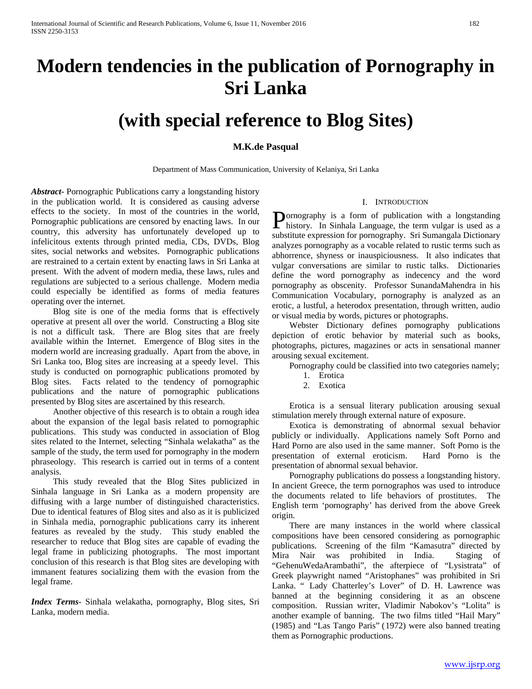# **Modern tendencies in the publication of Pornography in Sri Lanka**

## **(with special reference to Blog Sites)**

#### **M.K.de Pasqual**

Department of Mass Communication, University of Kelaniya, Sri Lanka

*Abstract***-** Pornographic Publications carry a longstanding history in the publication world. It is considered as causing adverse effects to the society. In most of the countries in the world, Pornographic publications are censored by enacting laws. In our country, this adversity has unfortunately developed up to infelicitous extents through printed media, CDs, DVDs, Blog sites, social networks and websites. Pornographic publications are restrained to a certain extent by enacting laws in Sri Lanka at present. With the advent of modern media, these laws, rules and regulations are subjected to a serious challenge. Modern media could especially be identified as forms of media features operating over the internet.

 Blog site is one of the media forms that is effectively operative at present all over the world. Constructing a Blog site is not a difficult task. There are Blog sites that are freely available within the Internet. Emergence of Blog sites in the modern world are increasing gradually. Apart from the above, in Sri Lanka too, Blog sites are increasing at a speedy level. This study is conducted on pornographic publications promoted by Blog sites. Facts related to the tendency of pornographic publications and the nature of pornographic publications presented by Blog sites are ascertained by this research.

 Another objective of this research is to obtain a rough idea about the expansion of the legal basis related to pornographic publications. This study was conducted in association of Blog sites related to the Internet, selecting "Sinhala welakatha" as the sample of the study, the term used for pornography in the modern phraseology. This research is carried out in terms of a content analysis.

 This study revealed that the Blog Sites publicized in Sinhala language in Sri Lanka as a modern propensity are diffusing with a large number of distinguished characteristics. Due to identical features of Blog sites and also as it is publicized in Sinhala media, pornographic publications carry its inherent features as revealed by the study. This study enabled the researcher to reduce that Blog sites are capable of evading the legal frame in publicizing photographs. The most important conclusion of this research is that Blog sites are developing with immanent features socializing them with the evasion from the legal frame.

*Index Terms*- Sinhala welakatha, pornography, Blog sites, Sri Lanka, modern media.

#### I. INTRODUCTION

ornography is a form of publication with a longstanding **P**ornography is a form of publication with a longstanding history. In Sinhala Language, the term vulgar is used as a substitute expression for pornography. Sri Sumangala Dictionary analyzes pornography as a vocable related to rustic terms such as abhorrence, shyness or inauspiciousness. It also indicates that vulgar conversations are similar to rustic talks. Dictionaries define the word pornography as indecency and the word pornography as obscenity. Professor SunandaMahendra in his Communication Vocabulary, pornography is analyzed as an erotic, a lustful, a heterodox presentation, through written, audio or visual media by words, pictures or photographs.

 Webster Dictionary defines pornography publications depiction of erotic behavior by material such as books, photographs, pictures, magazines or acts in sensational manner arousing sexual excitement.

Pornography could be classified into two categories namely;

- 1. Erotica
- 2. Exotica

 Erotica is a sensual literary publication arousing sexual stimulation merely through external nature of exposure.

 Exotica is demonstrating of abnormal sexual behavior publicly or individually. Applications namely Soft Porno and Hard Porno are also used in the same manner. Soft Porno is the presentation of external eroticism. Hard Porno is the presentation of abnormal sexual behavior.

 Pornography publications do possess a longstanding history. In ancient Greece, the term pornographos was used to introduce the documents related to life behaviors of prostitutes. The English term 'pornography' has derived from the above Greek origin.

 There are many instances in the world where classical compositions have been censored considering as pornographic publications. Screening of the film "Kamasutra" directed by Mira Nair was prohibited in India. Staging of "GehenuWedaArambathi", the afterpiece of "Lysistrata" of Greek playwright named "Aristophanes" was prohibited in Sri Lanka. " Lady Chatterley's Lover" of D. H. Lawrence was banned at the beginning considering it as an obscene composition. Russian writer, Vladimir Nabokov's "Lolita" is another example of banning. The two films titled "Hail Mary" (1985) and "Las Tango Paris" (1972) were also banned treating them as Pornographic productions.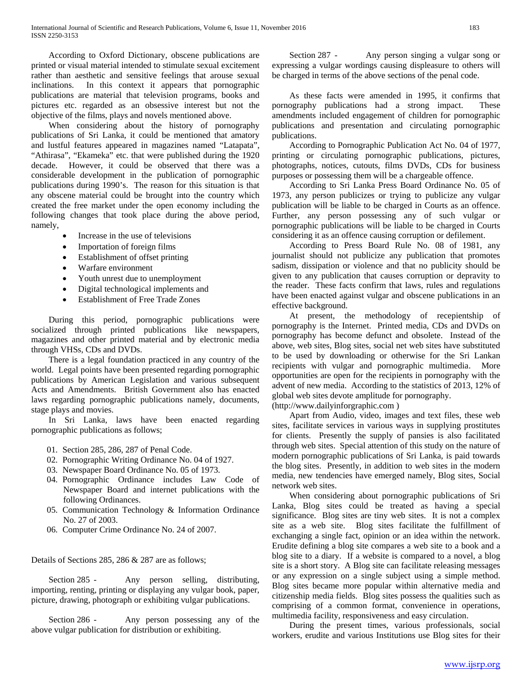According to Oxford Dictionary, obscene publications are printed or visual material intended to stimulate sexual excitement rather than aesthetic and sensitive feelings that arouse sexual inclinations. In this context it appears that pornographic publications are material that television programs, books and pictures etc. regarded as an obsessive interest but not the objective of the films, plays and novels mentioned above.

 When considering about the history of pornography publications of Sri Lanka, it could be mentioned that amatory and lustful features appeared in magazines named "Latapata", "Athirasa", "Ekameka" etc. that were published during the 1920 decade. However, it could be observed that there was a considerable development in the publication of pornographic publications during 1990's. The reason for this situation is that any obscene material could be brought into the country which created the free market under the open economy including the following changes that took place during the above period, namely,

- Increase in the use of televisions
- Importation of foreign films
- Establishment of offset printing
- Warfare environment
- Youth unrest due to unemployment
- Digital technological implements and
- Establishment of Free Trade Zones

 During this period, pornographic publications were socialized through printed publications like newspapers, magazines and other printed material and by electronic media through VHSs, CDs and DVDs.

 There is a legal foundation practiced in any country of the world. Legal points have been presented regarding pornographic publications by American Legislation and various subsequent Acts and Amendments. British Government also has enacted laws regarding pornographic publications namely, documents, stage plays and movies.

 In Sri Lanka, laws have been enacted regarding pornographic publications as follows;

- 01. Section 285, 286, 287 of Penal Code.
- 02. Pornographic Writing Ordinance No. 04 of 1927.
- 03. Newspaper Board Ordinance No. 05 of 1973.
- 04. Pornographic Ordinance includes Law Code of Newspaper Board and internet publications with the following Ordinances.
- 05. Communication Technology & Information Ordinance No. 27 of 2003.
- 06. Computer Crime Ordinance No. 24 of 2007.

Details of Sections 285, 286 & 287 are as follows;

Section 285 - Any person selling, distributing, importing, renting, printing or displaying any vulgar book, paper, picture, drawing, photograph or exhibiting vulgar publications.

Section 286 - Any person possessing any of the above vulgar publication for distribution or exhibiting.

Section 287 - Any person singing a vulgar song or expressing a vulgar wordings causing displeasure to others will be charged in terms of the above sections of the penal code.

 As these facts were amended in 1995, it confirms that pornography publications had a strong impact. These amendments included engagement of children for pornographic publications and presentation and circulating pornographic publications.

 According to Pornographic Publication Act No. 04 of 1977, printing or circulating pornographic publications, pictures, photographs, notices, cutouts, films DVDs, CDs for business purposes or possessing them will be a chargeable offence.

 According to Sri Lanka Press Board Ordinance No. 05 of 1973, any person publicizes or trying to publicize any vulgar publication will be liable to be charged in Courts as an offence. Further, any person possessing any of such vulgar or pornographic publications will be liable to be charged in Courts considering it as an offence causing corruption or defilement.

 According to Press Board Rule No. 08 of 1981, any journalist should not publicize any publication that promotes sadism, dissipation or violence and that no publicity should be given to any publication that causes corruption or depravity to the reader. These facts confirm that laws, rules and regulations have been enacted against vulgar and obscene publications in an effective background.

 At present, the methodology of recepientship of pornography is the Internet. Printed media, CDs and DVDs on pornography has become defunct and obsolete. Instead of the above, web sites, Blog sites, social net web sites have substituted to be used by downloading or otherwise for the Sri Lankan recipients with vulgar and pornographic multimedia. More opportunities are open for the recipients in pornography with the advent of new media. According to the statistics of 2013, 12% of global web sites devote amplitude for pornography. (http://www.dailyinforgraphic.com )

 Apart from Audio, video, images and text files, these web sites, facilitate services in various ways in supplying prostitutes for clients. Presently the supply of pansies is also facilitated through web sites. Special attention of this study on the nature of modern pornographic publications of Sri Lanka, is paid towards the blog sites. Presently, in addition to web sites in the modern media, new tendencies have emerged namely, Blog sites, Social

network web sites. When considering about pornographic publications of Sri Lanka, Blog sites could be treated as having a special significance. Blog sites are tiny web sites. It is not a complex site as a web site. Blog sites facilitate the fulfillment of exchanging a single fact, opinion or an idea within the network. Erudite defining a blog site compares a web site to a book and a blog site to a diary. If a website is compared to a novel, a blog site is a short story. A Blog site can facilitate releasing messages or any expression on a single subject using a simple method. Blog sites became more popular within alternative media and citizenship media fields. Blog sites possess the qualities such as comprising of a common format, convenience in operations, multimedia facility, responsiveness and easy circulation.

 During the present times, various professionals, social workers, erudite and various Institutions use Blog sites for their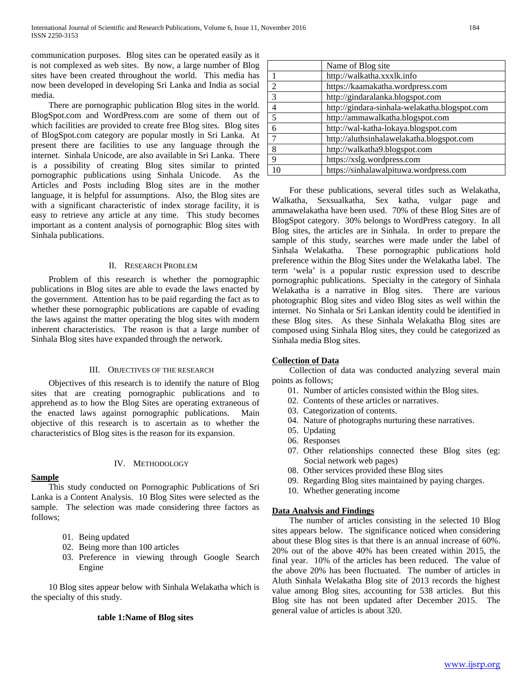communication purposes. Blog sites can be operated easily as it is not complexed as web sites. By now, a large number of Blog sites have been created throughout the world. This media has now been developed in developing Sri Lanka and India as social media.

 There are pornographic publication Blog sites in the world. BlogSpot.com and WordPress.com are some of them out of which facilities are provided to create free Blog sites. Blog sites of BlogSpot.com category are popular mostly in Sri Lanka. At present there are facilities to use any language through the internet. Sinhala Unicode, are also available in Sri Lanka. There is a possibility of creating Blog sites similar to printed pornographic publications using Sinhala Unicode. As the Articles and Posts including Blog sites are in the mother language, it is helpful for assumptions. Also, the Blog sites are with a significant characteristic of index storage facility, it is easy to retrieve any article at any time. This study becomes important as a content analysis of pornographic Blog sites with Sinhala publications.

#### II. RESEARCH PROBLEM

 Problem of this research is whether the pornographic publications in Blog sites are able to evade the laws enacted by the government. Attention has to be paid regarding the fact as to whether these pornographic publications are capable of evading the laws against the matter operating the blog sites with modern inherent characteristics. The reason is that a large number of Sinhala Blog sites have expanded through the network.

#### III. OBJECTIVES OF THE RESEARCH

 Objectives of this research is to identify the nature of Blog sites that are creating pornographic publications and to apprehend as to how the Blog Sites are operating extraneous of the enacted laws against pornographic publications. Main objective of this research is to ascertain as to whether the characteristics of Blog sites is the reason for its expansion.

#### IV. METHODOLOGY

 This study conducted on Pornographic Publications of Sri Lanka is a Content Analysis. 10 Blog Sites were selected as the sample. The selection was made considering three factors as

03. Preference in viewing through Google Search

10 Blog sites appear below with Sinhala Welakatha which is

#### **Sample**

follows;

01. Being updated

Engine

02. Being more than 100 articles

#### Name of Blog site 1 http://walkatha.xxxlk.info<br>2 https://kaamakatha.wordpr 2 https://kaamakatha.wordpress.com 3 http://gindaralanka.blogspot.com 4 http://gindara-sinhala-welakatha.blogspot.com 5 http://ammawalkatha.blogspot.com 6 http://wal-katha-lokaya.blogspot.com 7 http://aluthsinhalawelakatha.blogspot.com 8 http://walkatha9.blogspot.com 9 https://xslg.wordpress.com 10 https://sinhalawalpituwa.wordpress.com

 For these publications, several titles such as Welakatha, Walkatha, Sexsualkatha, Sex katha, vulgar page and ammawelakatha have been used. 70% of these Blog Sites are of BlogSpot category. 30% belongs to WordPress category. In all Blog sites, the articles are in Sinhala. In order to prepare the sample of this study, searches were made under the label of Sinhala Welakatha. These pornographic publications hold preference within the Blog Sites under the Welakatha label. The term 'wela' is a popular rustic expression used to describe pornographic publications. Specialty in the category of Sinhala Welakatha is a narrative in Blog sites. There are various photographic Blog sites and video Blog sites as well within the internet. No Sinhala or Sri Lankan identity could be identified in these Blog sites. As these Sinhala Welakatha Blog sites are composed using Sinhala Blog sites, they could be categorized as Sinhala media Blog sites.

#### **Collection of Data**

 Collection of data was conducted analyzing several main points as follows;

- 01. Number of articles consisted within the Blog sites.
- 02. Contents of these articles or narratives.
- 03. Categorization of contents.
- 04. Nature of photographs nurturing these narratives.
- 05. Updating
- 06. Responses
- 07. Other relationships connected these Blog sites (eg: Social network web pages)
- 08. Other services provided these Blog sites
- 09. Regarding Blog sites maintained by paying charges.
- 10. Whether generating income

#### **Data Analysis and Findings**

 The number of articles consisting in the selected 10 Blog sites appears below. The significance noticed when considering about these Blog sites is that there is an annual increase of 60%. 20% out of the above 40% has been created within 2015, the final year. 10% of the articles has been reduced. The value of the above 20% has been fluctuated. The number of articles in Aluth Sinhala Welakatha Blog site of 2013 records the highest value among Blog sites, accounting for 538 articles. But this Blog site has not been updated after December 2015. The general value of articles is about 320.

### the specialty of this study. **table 1:Name of Blog sites**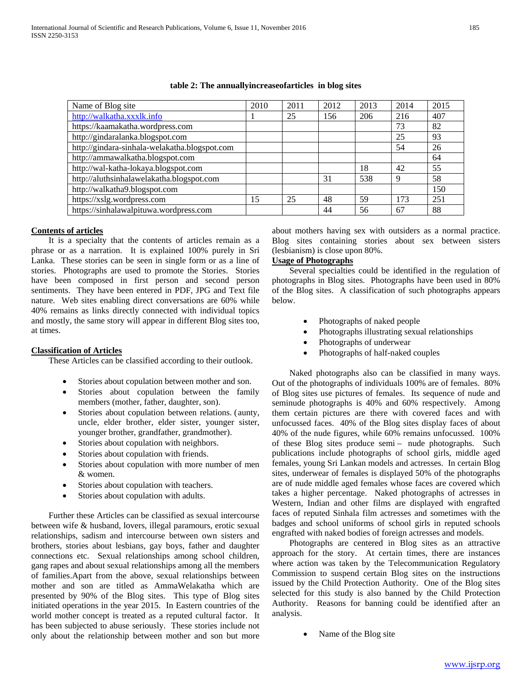| Name of Blog site                             | 2010 | 2011 | 2012 | 2013 | 2014 | 2015 |
|-----------------------------------------------|------|------|------|------|------|------|
| http://walkatha.xxxlk.info                    |      | 25   | 156  | 206  | 216  | 407  |
| https://kaamakatha.wordpress.com              |      |      |      |      | 73   | 82   |
| http://gindaralanka.blogspot.com              |      |      |      |      | 25   | 93   |
| http://gindara-sinhala-welakatha.blogspot.com |      |      |      |      | 54   | 26   |
| http://ammawalkatha.blogspot.com              |      |      |      |      |      | 64   |
| http://wal-katha-lokaya.blogspot.com          |      |      |      | 18   | 42   | 55   |
| http://aluthsinhalawelakatha.blogspot.com     |      |      | 31   | 538  | 9    | 58   |
| http://walkatha9.blogspot.com                 |      |      |      |      |      | 150  |
| https://xslg.wordpress.com                    | 15   | 25   | 48   | 59   | 173  | 251  |
| https://sinhalawalpituwa.wordpress.com        |      |      | 44   | 56   | 67   | 88   |

#### **table 2: The annuallyincreaseofarticles in blog sites**

#### **Contents of articles**

 It is a specialty that the contents of articles remain as a phrase or as a narration. It is explained 100% purely in Sri Lanka. These stories can be seen in single form or as a line of stories. Photographs are used to promote the Stories. Stories have been composed in first person and second person sentiments. They have been entered in PDF, JPG and Text file nature. Web sites enabling direct conversations are 60% while 40% remains as links directly connected with individual topics and mostly, the same story will appear in different Blog sites too, at times.

#### **Classification of Articles**

These Articles can be classified according to their outlook.

- Stories about copulation between mother and son.
- Stories about copulation between the family members (mother, father, daughter, son).
- Stories about copulation between relations. (aunty, uncle, elder brother, elder sister, younger sister, younger brother, grandfather, grandmother).
- Stories about copulation with neighbors.
- Stories about copulation with friends.
- Stories about copulation with more number of men & women.
- Stories about copulation with teachers.
- Stories about copulation with adults.

 Further these Articles can be classified as sexual intercourse between wife & husband, lovers, illegal paramours, erotic sexual relationships, sadism and intercourse between own sisters and brothers, stories about lesbians, gay boys, father and daughter connections etc. Sexual relationships among school children, gang rapes and about sexual relationships among all the members of families.Apart from the above, sexual relationships between mother and son are titled as AmmaWelakatha which are presented by 90% of the Blog sites. This type of Blog sites initiated operations in the year 2015. In Eastern countries of the world mother concept is treated as a reputed cultural factor. It has been subjected to abuse seriously. These stories include not only about the relationship between mother and son but more

about mothers having sex with outsiders as a normal practice. Blog sites containing stories about sex between sisters (lesbianism) is close upon 80%.

#### **Usage of Photographs**

 Several specialties could be identified in the regulation of photographs in Blog sites. Photographs have been used in 80% of the Blog sites. A classification of such photographs appears below.

- Photographs of naked people
- Photographs illustrating sexual relationships
- Photographs of underwear
- Photographs of half-naked couples

 Naked photographs also can be classified in many ways. Out of the photographs of individuals 100% are of females. 80% of Blog sites use pictures of females. Its sequence of nude and seminude photographs is 40% and 60% respectively. Among them certain pictures are there with covered faces and with unfocussed faces. 40% of the Blog sites display faces of about 40% of the nude figures, while 60% remains unfocussed. 100% of these Blog sites produce semi – nude photographs. Such publications include photographs of school girls, middle aged females, young Sri Lankan models and actresses. In certain Blog sites, underwear of females is displayed 50% of the photographs are of nude middle aged females whose faces are covered which takes a higher percentage. Naked photographs of actresses in Western, Indian and other films are displayed with engrafted faces of reputed Sinhala film actresses and sometimes with the badges and school uniforms of school girls in reputed schools engrafted with naked bodies of foreign actresses and models.

 Photographs are centered in Blog sites as an attractive approach for the story. At certain times, there are instances where action was taken by the Telecommunication Regulatory Commission to suspend certain Blog sites on the instructions issued by the Child Protection Authority. One of the Blog sites selected for this study is also banned by the Child Protection Authority. Reasons for banning could be identified after an analysis.

Name of the Blog site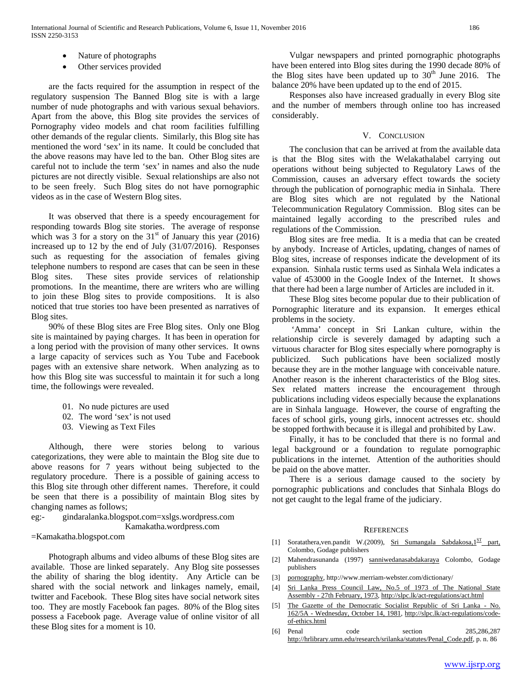- Nature of photographs
- Other services provided

 are the facts required for the assumption in respect of the regulatory suspension The Banned Blog site is with a large number of nude photographs and with various sexual behaviors. Apart from the above, this Blog site provides the services of Pornography video models and chat room facilities fulfilling other demands of the regular clients. Similarly, this Blog site has mentioned the word 'sex' in its name. It could be concluded that the above reasons may have led to the ban. Other Blog sites are careful not to include the term 'sex' in names and also the nude pictures are not directly visible. Sexual relationships are also not to be seen freely. Such Blog sites do not have pornographic videos as in the case of Western Blog sites.

 It was observed that there is a speedy encouragement for responding towards Blog site stories. The average of response which was 3 for a story on the  $31<sup>st</sup>$  of January this year (2016) increased up to 12 by the end of July (31/07/2016). Responses such as requesting for the association of females giving telephone numbers to respond are cases that can be seen in these Blog sites. These sites provide services of relationship promotions. In the meantime, there are writers who are willing to join these Blog sites to provide compositions. It is also noticed that true stories too have been presented as narratives of Blog sites.

 90% of these Blog sites are Free Blog sites. Only one Blog site is maintained by paying charges. It has been in operation for a long period with the provision of many other services. It owns a large capacity of services such as You Tube and Facebook pages with an extensive share network. When analyzing as to how this Blog site was successful to maintain it for such a long time, the followings were revealed.

- 01. No nude pictures are used
- 02. The word 'sex' is not used
- 03. Viewing as Text Files

 Although, there were stories belong to various categorizations, they were able to maintain the Blog site due to above reasons for 7 years without being subjected to the regulatory procedure. There is a possible of gaining access to this Blog site through other different names. Therefore, it could be seen that there is a possibility of maintain Blog sites by changing names as follows;

eg:- gindaralanka.blogspot.com=xslgs.wordpress.com Kamakatha.wordpress.com

=Kamakatha.blogspot.com

 Photograph albums and video albums of these Blog sites are available. Those are linked separately. Any Blog site possesses the ability of sharing the blog identity. Any Article can be shared with the social network and linkages namely, email, twitter and Facebook. These Blog sites have social network sites too. They are mostly Facebook fan pages. 80% of the Blog sites possess a Facebook page. Average value of online visitor of all these Blog sites for a moment is 10.

 Vulgar newspapers and printed pornographic photographs have been entered into Blog sites during the 1990 decade 80% of the Blog sites have been updated up to  $30<sup>th</sup>$  June 2016. The balance 20% have been updated up to the end of 2015.

 Responses also have increased gradually in every Blog site and the number of members through online too has increased considerably.

#### V. CONCLUSION

 The conclusion that can be arrived at from the available data is that the Blog sites with the Welakathalabel carrying out operations without being subjected to Regulatory Laws of the Commission, causes an adversary effect towards the society through the publication of pornographic media in Sinhala. There are Blog sites which are not regulated by the National Telecommunication Regulatory Commission. Blog sites can be maintained legally according to the prescribed rules and regulations of the Commission.

 Blog sites are free media. It is a media that can be created by anybody. Increase of Articles, updating, changes of names of Blog sites, increase of responses indicate the development of its expansion. Sinhala rustic terms used as Sinhala Wela indicates a value of 453000 in the Google Index of the Internet. It shows that there had been a large number of Articles are included in it.

 These Blog sites become popular due to their publication of Pornographic literature and its expansion. It emerges ethical problems in the society.

 'Amma' concept in Sri Lankan culture, within the relationship circle is severely damaged by adapting such a virtuous character for Blog sites especially where pornography is publicized. Such publications have been socialized mostly because they are in the mother language with conceivable nature. Another reason is the inherent characteristics of the Blog sites. Sex related matters increase the encouragement through publications including videos especially because the explanations are in Sinhala language. However, the course of engrafting the faces of school girls, young girls, innocent actresses etc. should be stopped forthwith because it is illegal and prohibited by Law.

 Finally, it has to be concluded that there is no formal and legal background or a foundation to regulate pornographic publications in the internet. Attention of the authorities should be paid on the above matter.

 There is a serious damage caused to the society by pornographic publications and concludes that Sinhala Blogs do not get caught to the legal frame of the judiciary.

#### **REFERENCES**

- [1] Soratathera, ven.pandit W.(2009), Sri Sumangala Sabdakosa,  $1^{ST}$  part, Colombo, Godage publishers
- [2] Mahendrasunanda (1997) sanniwedanasabdakaraya Colombo, Godage publishers
- [3] [pornography,](http://www.merriam-webster.com/dictionary/pornography) http://www.merriam-webster.com/dictionary/
- [4] [Sri Lanka Press Council Law, No.5 of 1973 of The National State](http://slpc.lk/images/doc/1973-02-27--English.pdf)  Assembly - [27th February, 1973,](http://slpc.lk/images/doc/1973-02-27--English.pdf)<http://slpc.lk/act-regulations/act.html>
- [5] [The Gazette of the Democratic Socialist Republic of Sri Lanka -](http://slpc.lk/images/doc/1981-10-14-English.pdf) No. 162/5A - [Wednesday, October 14, 1981,](http://slpc.lk/images/doc/1981-10-14-English.pdf) [http://slpc.lk/act-regulations/code](http://slpc.lk/act-regulations/code-of-ethics.html)[of-ethics.html](http://slpc.lk/act-regulations/code-of-ethics.html)
- [6] Penal code section 285,286,287 [http://hrlibrary.umn.edu/research/srilanka/statutes/Penal\\_Code.pdf,](http://hrlibrary.umn.edu/research/srilanka/statutes/Penal_Code.pdf) p. n. 86